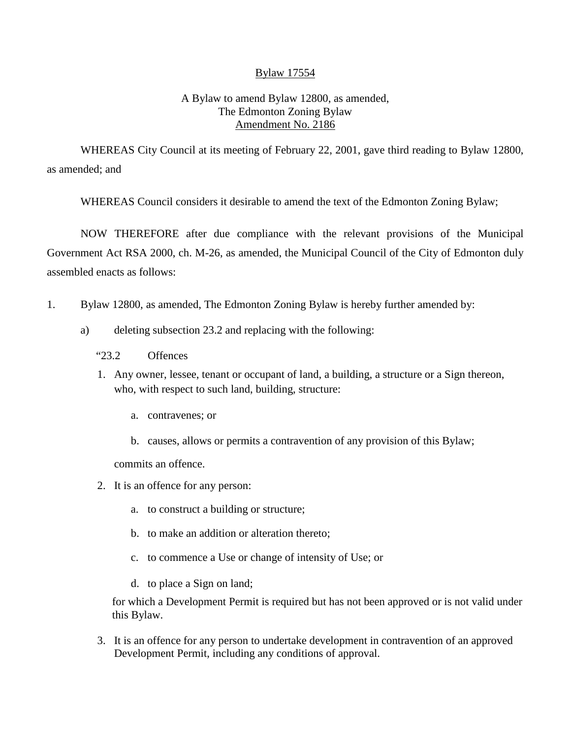## Bylaw 17554

## A Bylaw to amend Bylaw 12800, as amended, The Edmonton Zoning Bylaw Amendment No. 2186

WHEREAS City Council at its meeting of February 22, 2001, gave third reading to Bylaw 12800, as amended; and

WHEREAS Council considers it desirable to amend the text of the Edmonton Zoning Bylaw;

NOW THEREFORE after due compliance with the relevant provisions of the Municipal Government Act RSA 2000, ch. M-26, as amended, the Municipal Council of the City of Edmonton duly assembled enacts as follows:

- 1. Bylaw 12800, as amended, The Edmonton Zoning Bylaw is hereby further amended by:
	- a) deleting subsection 23.2 and replacing with the following:
		- "23.2 Offences
		- 1. Any owner, lessee, tenant or occupant of land, a building, a structure or a Sign thereon, who, with respect to such land, building, structure:
			- a. contravenes; or
			- b. causes, allows or permits a contravention of any provision of this Bylaw;

commits an offence.

- 2. It is an offence for any person:
	- a. to construct a building or structure;
	- b. to make an addition or alteration thereto;
	- c. to commence a Use or change of intensity of Use; or
	- d. to place a Sign on land;

for which a Development Permit is required but has not been approved or is not valid under this Bylaw.

3. It is an offence for any person to undertake development in contravention of an approved Development Permit, including any conditions of approval.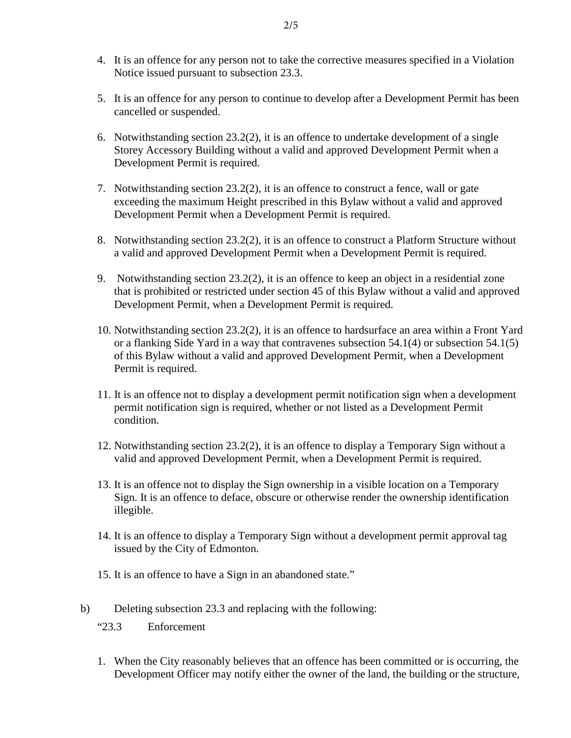- 4. It is an offence for any person not to take the corrective measures specified in a Violation Notice issued pursuant to subsection 23.3.
- 5. It is an offence for any person to continue to develop after a Development Permit has been cancelled or suspended.
- 6. Notwithstanding section 23.2(2), it is an offence to undertake development of a single Storey Accessory Building without a valid and approved Development Permit when a Development Permit is required.
- 7. Notwithstanding section 23.2(2), it is an offence to construct a fence, wall or gate exceeding the maximum Height prescribed in this Bylaw without a valid and approved Development Permit when a Development Permit is required.
- 8. Notwithstanding section 23.2(2), it is an offence to construct a Platform Structure without a valid and approved Development Permit when a Development Permit is required.
- 9. Notwithstanding section 23.2(2), it is an offence to keep an object in a residential zone that is prohibited or restricted under section 45 of this Bylaw without a valid and approved Development Permit, when a Development Permit is required.
- 10. Notwithstanding section 23.2(2), it is an offence to hardsurface an area within a Front Yard or a flanking Side Yard in a way that contravenes subsection 54.1(4) or subsection 54.1(5) of this Bylaw without a valid and approved Development Permit, when a Development Permit is required.
- 11. It is an offence not to display a development permit notification sign when a development permit notification sign is required, whether or not listed as a Development Permit condition.
- 12. Notwithstanding section 23.2(2), it is an offence to display a Temporary Sign without a valid and approved Development Permit, when a Development Permit is required.
- 13. It is an offence not to display the Sign ownership in a visible location on a Temporary Sign. It is an offence to deface, obscure or otherwise render the ownership identification illegible.
- 14. It is an offence to display a Temporary Sign without a development permit approval tag issued by the City of Edmonton.
- 15. It is an offence to have a Sign in an abandoned state."
- b) Deleting subsection 23.3 and replacing with the following:
	- "23.3 Enforcement
	- 1. When the City reasonably believes that an offence has been committed or is occurring, the Development Officer may notify either the owner of the land, the building or the structure,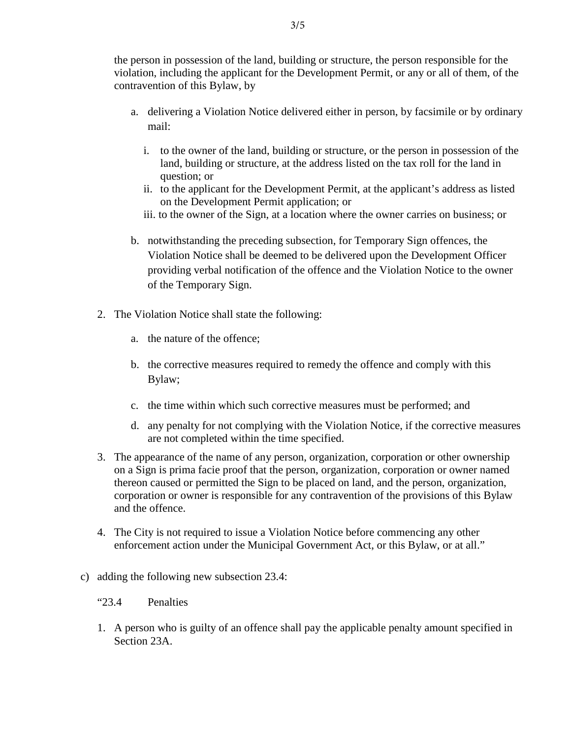the person in possession of the land, building or structure, the person responsible for the violation, including the applicant for the Development Permit, or any or all of them, of the contravention of this Bylaw, by

- a. delivering a Violation Notice delivered either in person, by facsimile or by ordinary mail:
	- i. to the owner of the land, building or structure, or the person in possession of the land, building or structure, at the address listed on the tax roll for the land in question; or
	- ii. to the applicant for the Development Permit, at the applicant's address as listed on the Development Permit application; or
	- iii. to the owner of the Sign, at a location where the owner carries on business; or
- b. notwithstanding the preceding subsection, for Temporary Sign offences, the Violation Notice shall be deemed to be delivered upon the Development Officer providing verbal notification of the offence and the Violation Notice to the owner of the Temporary Sign.
- 2. The Violation Notice shall state the following:
	- a. the nature of the offence;
	- b. the corrective measures required to remedy the offence and comply with this Bylaw;
	- c. the time within which such corrective measures must be performed; and
	- d. any penalty for not complying with the Violation Notice, if the corrective measures are not completed within the time specified.
- 3. The appearance of the name of any person, organization, corporation or other ownership on a Sign is prima facie proof that the person, organization, corporation or owner named thereon caused or permitted the Sign to be placed on land, and the person, organization, corporation or owner is responsible for any contravention of the provisions of this Bylaw and the offence.
- 4. The City is not required to issue a Violation Notice before commencing any other enforcement action under the Municipal Government Act, or this Bylaw, or at all."
- c) adding the following new subsection 23.4:
	- "23.4 Penalties
	- 1. A person who is guilty of an offence shall pay the applicable penalty amount specified in Section 23A.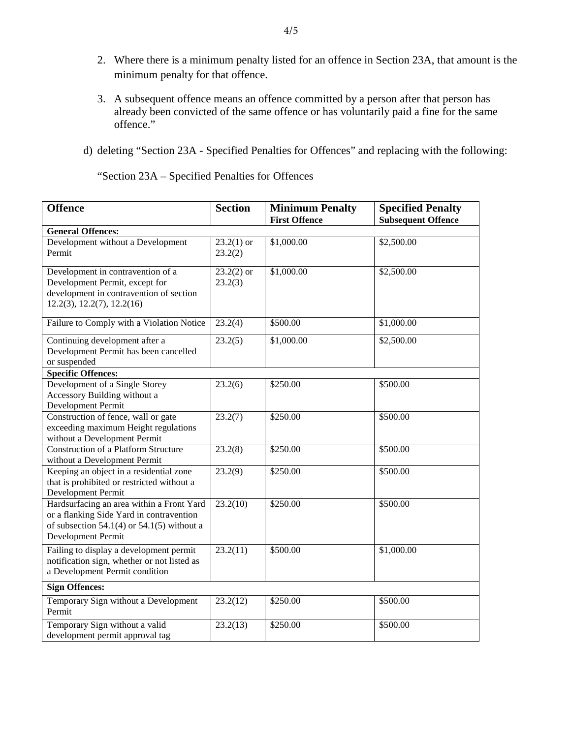- 2. Where there is a minimum penalty listed for an offence in Section 23A, that amount is the minimum penalty for that offence.
- 3. A subsequent offence means an offence committed by a person after that person has already been convicted of the same offence or has voluntarily paid a fine for the same offence."
- d) deleting "Section 23A Specified Penalties for Offences" and replacing with the following:

"Section 23A – Specified Penalties for Offences

| <b>Offence</b>                                                                                                                                            | <b>Section</b>          | <b>Minimum Penalty</b> | <b>Specified Penalty</b>  |
|-----------------------------------------------------------------------------------------------------------------------------------------------------------|-------------------------|------------------------|---------------------------|
|                                                                                                                                                           |                         | <b>First Offence</b>   | <b>Subsequent Offence</b> |
| <b>General Offences:</b>                                                                                                                                  |                         |                        |                           |
| Development without a Development<br>Permit                                                                                                               | $23.2(1)$ or<br>23.2(2) | \$1,000.00             | \$2,500.00                |
| Development in contravention of a<br>Development Permit, except for<br>development in contravention of section<br>12.2(3), 12.2(7), 12.2(16)              | $23.2(2)$ or<br>23.2(3) | \$1,000.00             | \$2,500.00                |
| Failure to Comply with a Violation Notice                                                                                                                 | 23.2(4)                 | \$500.00               | \$1,000.00                |
| Continuing development after a<br>Development Permit has been cancelled<br>or suspended                                                                   | 23.2(5)                 | \$1,000.00             | \$2,500.00                |
| <b>Specific Offences:</b>                                                                                                                                 |                         |                        |                           |
| Development of a Single Storey<br>Accessory Building without a<br>Development Permit                                                                      | 23.2(6)                 | \$250.00               | \$500.00                  |
| Construction of fence, wall or gate<br>exceeding maximum Height regulations<br>without a Development Permit                                               | 23.2(7)                 | \$250.00               | \$500.00                  |
| <b>Construction of a Platform Structure</b><br>without a Development Permit                                                                               | 23.2(8)                 | \$250.00               | \$500.00                  |
| Keeping an object in a residential zone<br>that is prohibited or restricted without a<br>Development Permit                                               | 23.2(9)                 | \$250.00               | \$500.00                  |
| Hardsurfacing an area within a Front Yard<br>or a flanking Side Yard in contravention<br>of subsection 54.1(4) or 54.1(5) without a<br>Development Permit | 23.2(10)                | \$250.00               | \$500.00                  |
| Failing to display a development permit<br>notification sign, whether or not listed as<br>a Development Permit condition                                  | 23.2(11)                | \$500.00               | \$1,000.00                |
| <b>Sign Offences:</b>                                                                                                                                     |                         |                        |                           |
| Temporary Sign without a Development<br>Permit                                                                                                            | 23.2(12)                | \$250.00               | \$500.00                  |
| Temporary Sign without a valid<br>development permit approval tag                                                                                         | 23.2(13)                | \$250.00               | \$500.00                  |